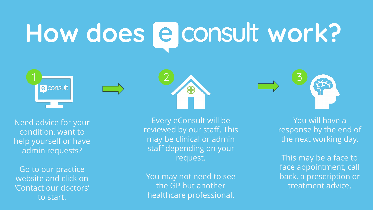# How does **@** consult work?







Go to our practice website and click on 'Contact our doctors' to start.

Every eConsult will be reviewed by our staff. This may be clinical or admin staff depending on your request.

 $\bigoplus$ 

You may not need to see the GP but another healthcare professional.



You will have a response by the end of the next working day.

This may be a face to face appointment, call back, a prescription or treatment advice.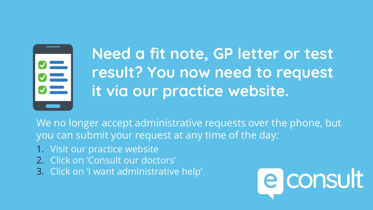

## **Need a fit note, GP letter or test result? You now need to request it via our practice website.**

We no longer accept administrative requests over the phone, but you can submit your request at any time of the day:

- 1. Visit our practice website
- 2. Click on 'Consult our doctors'
- 3. Click on 'I want administrative help'

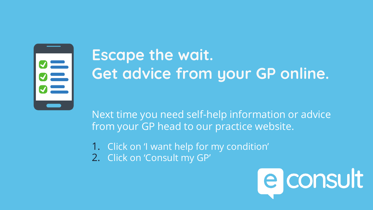

# **Escape the wait. Get advice from your GP online.**

Next time you need self-help information or advice from your GP head to our practice website.

1. Click on 'I want help for my condition' 2. Click on 'Consult my GP'

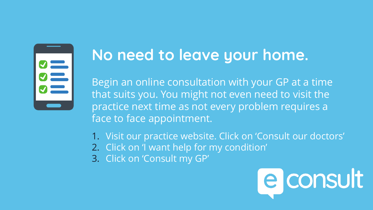

#### **No need to leave your home.**

Begin an online consultation with your GP at a time that suits you. You might not even need to visit the practice next time as not every problem requires a face to face appointment.

- 1. Visit our practice website. Click on 'Consult our doctors'
- 2. Click on 'I want help for my condition'
- 3. Click on 'Consult my GP'

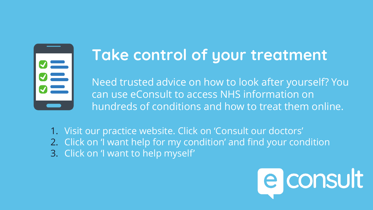

#### **Take control of your treatment**

Need trusted advice on how to look after yourself? You can use eConsult to access NHS information on hundreds of conditions and how to treat them online.

1. Visit our practice website. Click on 'Consult our doctors' 2. Click on 'I want help for my condition' and find your condition 3. Click on 'I want to help myself'

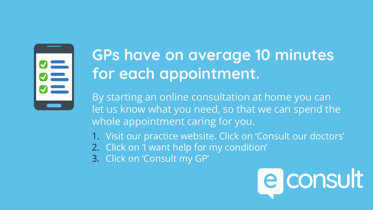SSS<br>UILS

# **GPs have on average 10 minutes for each appointment.**

By starting an online consultation at home you can let us know what you need, so that we can spend the whole appointment caring for you.

- 1. Visit our practice website. Click on 'Consult our doctors'
- 2. Click on 'I want help for my condition'
- 3. Click on 'Consult my GP'

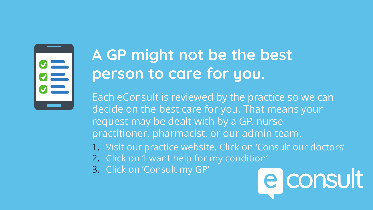

## **A GP might not be the best person to care for you.**

Each eConsult is reviewed by the practice so we can decide on the best care for you. That means your request may be dealt with by a GP, nurse practitioner, pharmacist, or our admin team.

- 1. Visit our practice website. Click on 'Consult our doctors'
- 2. Click on 'I want help for my condition'
- 3. Click on 'Consult my GP'

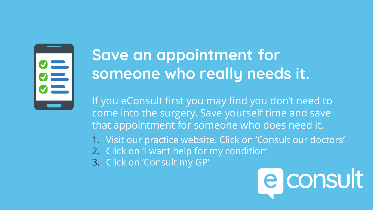

## **Save an appointment for someone who really needs it.**

If you eConsult first you may find you don't need to come into the surgery. Save yourself time and save that appointment for someone who does need it.

- 1. Visit our practice website. Click on 'Consult our doctors'
- 2. Click on 'I want help for my condition'
- 3. Click on 'Consult my GP'